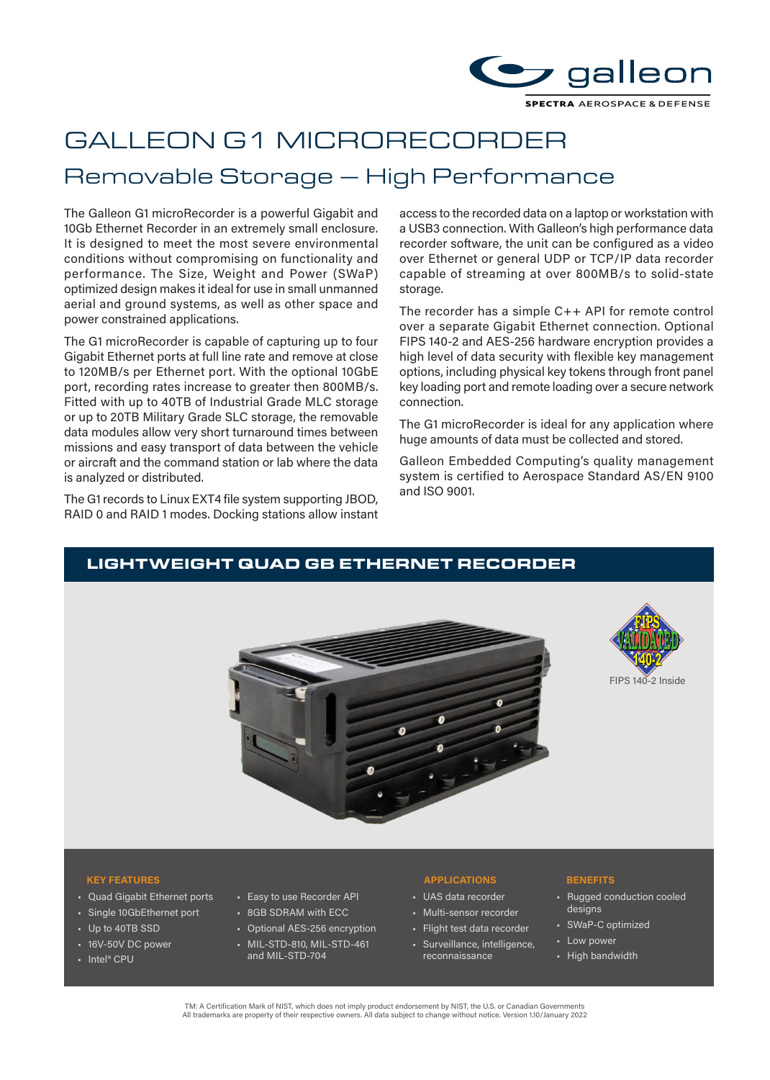

# GALLEON G1 MICRORECORDER

# Removable Storage – High Performance

The Galleon G1 microRecorder is a powerful Gigabit and 10Gb Ethernet Recorder in an extremely small enclosure. It is designed to meet the most severe environmental conditions without compromising on functionality and performance. The Size, Weight and Power (SWaP) optimized design makes it ideal for use in small unmanned aerial and ground systems, as well as other space and power constrained applications.

The G1 microRecorder is capable of capturing up to four Gigabit Ethernet ports at full line rate and remove at close to 120MB/s per Ethernet port. With the optional 10GbE port, recording rates increase to greater then 800MB/s. Fitted with up to 40TB of Industrial Grade MLC storage or up to 20TB Military Grade SLC storage, the removable data modules allow very short turnaround times between missions and easy transport of data between the vehicle or aircraft and the command station or lab where the data is analyzed or distributed.

The G1 records to Linux EXT4 file system supporting JBOD, RAID 0 and RAID 1 modes. Docking stations allow instant

access to the recorded data on a laptop or workstation with a USB3 connection. With Galleon's high performance data recorder software, the unit can be configured as a video over Ethernet or general UDP or TCP/IP data recorder capable of streaming at over 800MB/s to solid-state storage.

The recorder has a simple C++ API for remote control over a separate Gigabit Ethernet connection. Optional FIPS 140-2 and AES-256 hardware encryption provides a high level of data security with flexible key management options, including physical key tokens through front panel key loading port and remote loading over a secure network connection.

The G1 microRecorder is ideal for any application where huge amounts of data must be collected and stored.

Galleon Embedded Computing's quality management system is certified to Aerospace Standard AS/EN 9100 and ISO 9001.

## LIGHTWEIGHT QUAD GB ETHERNET RECORDER





- Quad Gigabit Ethernet ports
- Single 10GbEthernet port
- Up to 40TB SSD
- 16V-50V DC power
- Intel® CPU

### • Easy to use Recorder API

- 8GB SDRAM with ECC
- Optional AES-256 encryption
- MIL-STD-810, MIL-STD-461 and MIL-STD-704

### **KEY FEATURES APPLICATIONS BENEFITS**

- UAS data recorder
- Multi-sensor recorder
- Flight test data recorder
- Surveillance, intelligence, reconnaissance

- Rugged conduction cooled designs
- SWaP-C optimized
- Low power
- High bandwidth

TM: A Certification Mark of NIST, which does not imply product endorsement by NIST, the U.S. or Canadian Governments<br>All trademarks are property of their respective owners. All data subject to change without notice. Versio